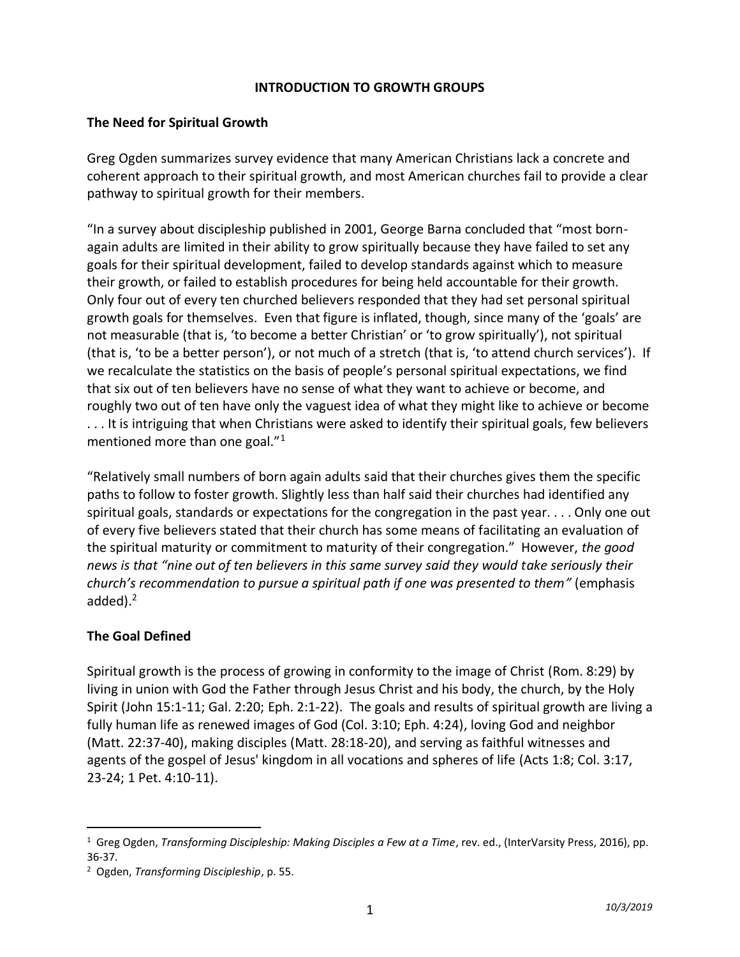#### **INTRODUCTION TO GROWTH GROUPS**

#### **The Need for Spiritual Growth**

Greg Ogden summarizes survey evidence that many American Christians lack a concrete and coherent approach to their spiritual growth, and most American churches fail to provide a clear pathway to spiritual growth for their members.

"In a survey about discipleship published in 2001, George Barna concluded that "most bornagain adults are limited in their ability to grow spiritually because they have failed to set any goals for their spiritual development, failed to develop standards against which to measure their growth, or failed to establish procedures for being held accountable for their growth. Only four out of every ten churched believers responded that they had set personal spiritual growth goals for themselves. Even that figure is inflated, though, since many of the 'goals' are not measurable (that is, 'to become a better Christian' or 'to grow spiritually'), not spiritual (that is, 'to be a better person'), or not much of a stretch (that is, 'to attend church services'). If we recalculate the statistics on the basis of people's personal spiritual expectations, we find that six out of ten believers have no sense of what they want to achieve or become, and roughly two out of ten have only the vaguest idea of what they might like to achieve or become . . . It is intriguing that when Christians were asked to identify their spiritual goals, few believers mentioned more than one goal."<sup>1</sup>

"Relatively small numbers of born again adults said that their churches gives them the specific paths to follow to foster growth. Slightly less than half said their churches had identified any spiritual goals, standards or expectations for the congregation in the past year. . . . Only one out of every five believers stated that their church has some means of facilitating an evaluation of the spiritual maturity or commitment to maturity of their congregation." However, *the good news is that "nine out of ten believers in this same survey said they would take seriously their church's recommendation to pursue a spiritual path if one was presented to them"* (emphasis added).<sup>2</sup>

### **The Goal Defined**

Spiritual growth is the process of growing in conformity to the image of Christ (Rom. 8:29) by living in union with God the Father through Jesus Christ and his body, the church, by the Holy Spirit (John 15:1-11; Gal. 2:20; Eph. 2:1-22). The goals and results of spiritual growth are living a fully human life as renewed images of God (Col. 3:10; Eph. 4:24), loving God and neighbor (Matt. 22:37-40), making disciples (Matt. 28:18-20), and serving as faithful witnesses and agents of the gospel of Jesus' kingdom in all vocations and spheres of life (Acts 1:8; Col. 3:17, 23-24; 1 Pet. 4:10-11).

<sup>1</sup> Greg Ogden, *Transforming Discipleship: Making Disciples a Few at a Time*, rev. ed., (InterVarsity Press, 2016), pp. 36-37.

<sup>2</sup> Ogden, *Transforming Discipleship*, p. 55.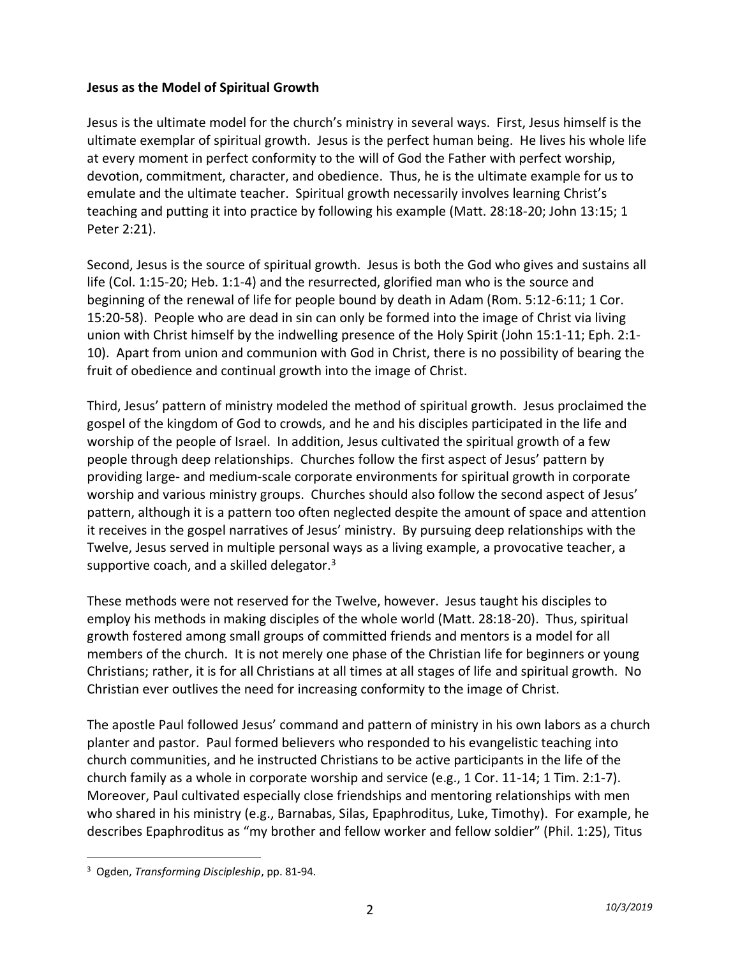#### **Jesus as the Model of Spiritual Growth**

Jesus is the ultimate model for the church's ministry in several ways. First, Jesus himself is the ultimate exemplar of spiritual growth. Jesus is the perfect human being. He lives his whole life at every moment in perfect conformity to the will of God the Father with perfect worship, devotion, commitment, character, and obedience. Thus, he is the ultimate example for us to emulate and the ultimate teacher. Spiritual growth necessarily involves learning Christ's teaching and putting it into practice by following his example (Matt. 28:18-20; John 13:15; 1 Peter 2:21).

Second, Jesus is the source of spiritual growth. Jesus is both the God who gives and sustains all life (Col. 1:15-20; Heb. 1:1-4) and the resurrected, glorified man who is the source and beginning of the renewal of life for people bound by death in Adam (Rom. 5:12-6:11; 1 Cor. 15:20-58). People who are dead in sin can only be formed into the image of Christ via living union with Christ himself by the indwelling presence of the Holy Spirit (John 15:1-11; Eph. 2:1- 10). Apart from union and communion with God in Christ, there is no possibility of bearing the fruit of obedience and continual growth into the image of Christ.

Third, Jesus' pattern of ministry modeled the method of spiritual growth. Jesus proclaimed the gospel of the kingdom of God to crowds, and he and his disciples participated in the life and worship of the people of Israel. In addition, Jesus cultivated the spiritual growth of a few people through deep relationships. Churches follow the first aspect of Jesus' pattern by providing large- and medium-scale corporate environments for spiritual growth in corporate worship and various ministry groups. Churches should also follow the second aspect of Jesus' pattern, although it is a pattern too often neglected despite the amount of space and attention it receives in the gospel narratives of Jesus' ministry. By pursuing deep relationships with the Twelve, Jesus served in multiple personal ways as a living example, a provocative teacher, a supportive coach, and a skilled delegator. $3$ 

These methods were not reserved for the Twelve, however. Jesus taught his disciples to employ his methods in making disciples of the whole world (Matt. 28:18-20). Thus, spiritual growth fostered among small groups of committed friends and mentors is a model for all members of the church. It is not merely one phase of the Christian life for beginners or young Christians; rather, it is for all Christians at all times at all stages of life and spiritual growth. No Christian ever outlives the need for increasing conformity to the image of Christ.

The apostle Paul followed Jesus' command and pattern of ministry in his own labors as a church planter and pastor. Paul formed believers who responded to his evangelistic teaching into church communities, and he instructed Christians to be active participants in the life of the church family as a whole in corporate worship and service (e.g., 1 Cor. 11-14; 1 Tim. 2:1-7). Moreover, Paul cultivated especially close friendships and mentoring relationships with men who shared in his ministry (e.g., Barnabas, Silas, Epaphroditus, Luke, Timothy). For example, he describes Epaphroditus as "my brother and fellow worker and fellow soldier" (Phil. 1:25), Titus

<sup>3</sup> Ogden, *Transforming Discipleship*, pp. 81-94.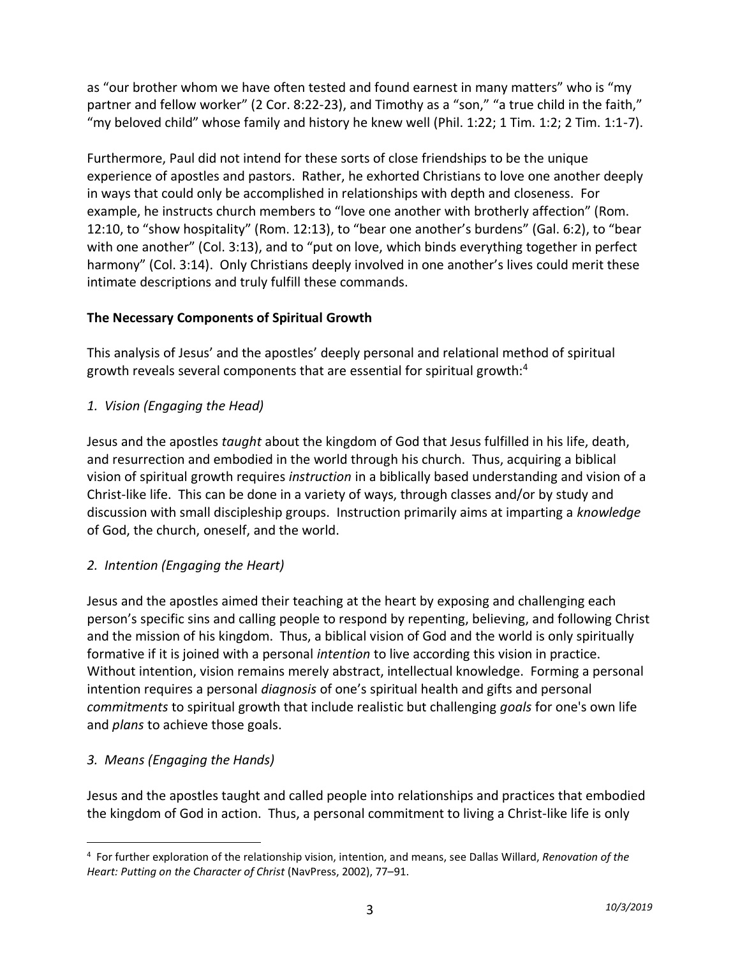as "our brother whom we have often tested and found earnest in many matters" who is "my partner and fellow worker" (2 Cor. 8:22-23), and Timothy as a "son," "a true child in the faith," "my beloved child" whose family and history he knew well (Phil. 1:22; 1 Tim. 1:2; 2 Tim. 1:1-7).

Furthermore, Paul did not intend for these sorts of close friendships to be the unique experience of apostles and pastors. Rather, he exhorted Christians to love one another deeply in ways that could only be accomplished in relationships with depth and closeness. For example, he instructs church members to "love one another with brotherly affection" (Rom. 12:10, to "show hospitality" (Rom. 12:13), to "bear one another's burdens" (Gal. 6:2), to "bear with one another" (Col. 3:13), and to "put on love, which binds everything together in perfect harmony" (Col. 3:14). Only Christians deeply involved in one another's lives could merit these intimate descriptions and truly fulfill these commands.

## **The Necessary Components of Spiritual Growth**

This analysis of Jesus' and the apostles' deeply personal and relational method of spiritual growth reveals several components that are essential for spiritual growth:<sup>4</sup>

# *1. Vision (Engaging the Head)*

Jesus and the apostles *taught* about the kingdom of God that Jesus fulfilled in his life, death, and resurrection and embodied in the world through his church. Thus, acquiring a biblical vision of spiritual growth requires *instruction* in a biblically based understanding and vision of a Christ-like life. This can be done in a variety of ways, through classes and/or by study and discussion with small discipleship groups. Instruction primarily aims at imparting a *knowledge* of God, the church, oneself, and the world.

# *2. Intention (Engaging the Heart)*

Jesus and the apostles aimed their teaching at the heart by exposing and challenging each person's specific sins and calling people to respond by repenting, believing, and following Christ and the mission of his kingdom. Thus, a biblical vision of God and the world is only spiritually formative if it is joined with a personal *intention* to live according this vision in practice. Without intention, vision remains merely abstract, intellectual knowledge. Forming a personal intention requires a personal *diagnosis* of one's spiritual health and gifts and personal *commitments* to spiritual growth that include realistic but challenging *goals* for one's own life and *plans* to achieve those goals.

# *3. Means (Engaging the Hands)*

Jesus and the apostles taught and called people into relationships and practices that embodied the kingdom of God in action. Thus, a personal commitment to living a Christ-like life is only

<sup>4</sup> For further exploration of the relationship vision, intention, and means, see Dallas Willard, *Renovation of the Heart: Putting on the Character of Christ* (NavPress, 2002), 77–91.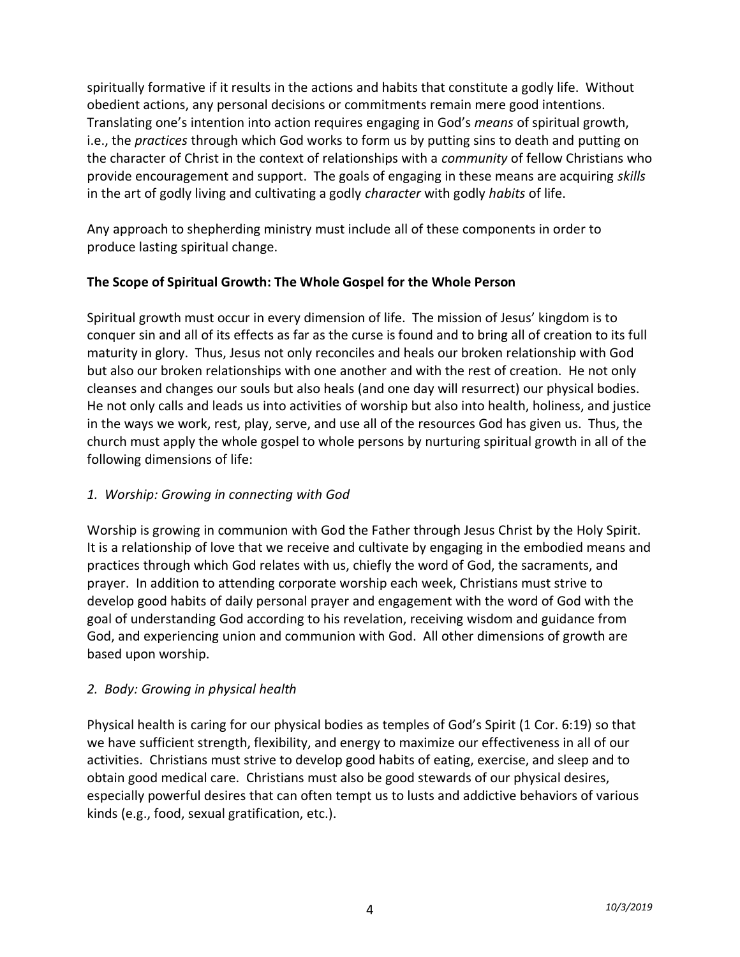spiritually formative if it results in the actions and habits that constitute a godly life. Without obedient actions, any personal decisions or commitments remain mere good intentions. Translating one's intention into action requires engaging in God's *means* of spiritual growth, i.e., the *practices* through which God works to form us by putting sins to death and putting on the character of Christ in the context of relationships with a *community* of fellow Christians who provide encouragement and support. The goals of engaging in these means are acquiring *skills* in the art of godly living and cultivating a godly *character* with godly *habits* of life.

Any approach to shepherding ministry must include all of these components in order to produce lasting spiritual change.

### **The Scope of Spiritual Growth: The Whole Gospel for the Whole Person**

Spiritual growth must occur in every dimension of life. The mission of Jesus' kingdom is to conquer sin and all of its effects as far as the curse is found and to bring all of creation to its full maturity in glory. Thus, Jesus not only reconciles and heals our broken relationship with God but also our broken relationships with one another and with the rest of creation. He not only cleanses and changes our souls but also heals (and one day will resurrect) our physical bodies. He not only calls and leads us into activities of worship but also into health, holiness, and justice in the ways we work, rest, play, serve, and use all of the resources God has given us. Thus, the church must apply the whole gospel to whole persons by nurturing spiritual growth in all of the following dimensions of life:

### *1. Worship: Growing in connecting with God*

Worship is growing in communion with God the Father through Jesus Christ by the Holy Spirit. It is a relationship of love that we receive and cultivate by engaging in the embodied means and practices through which God relates with us, chiefly the word of God, the sacraments, and prayer. In addition to attending corporate worship each week, Christians must strive to develop good habits of daily personal prayer and engagement with the word of God with the goal of understanding God according to his revelation, receiving wisdom and guidance from God, and experiencing union and communion with God. All other dimensions of growth are based upon worship.

### *2. Body: Growing in physical health*

Physical health is caring for our physical bodies as temples of God's Spirit (1 Cor. 6:19) so that we have sufficient strength, flexibility, and energy to maximize our effectiveness in all of our activities. Christians must strive to develop good habits of eating, exercise, and sleep and to obtain good medical care. Christians must also be good stewards of our physical desires, especially powerful desires that can often tempt us to lusts and addictive behaviors of various kinds (e.g., food, sexual gratification, etc.).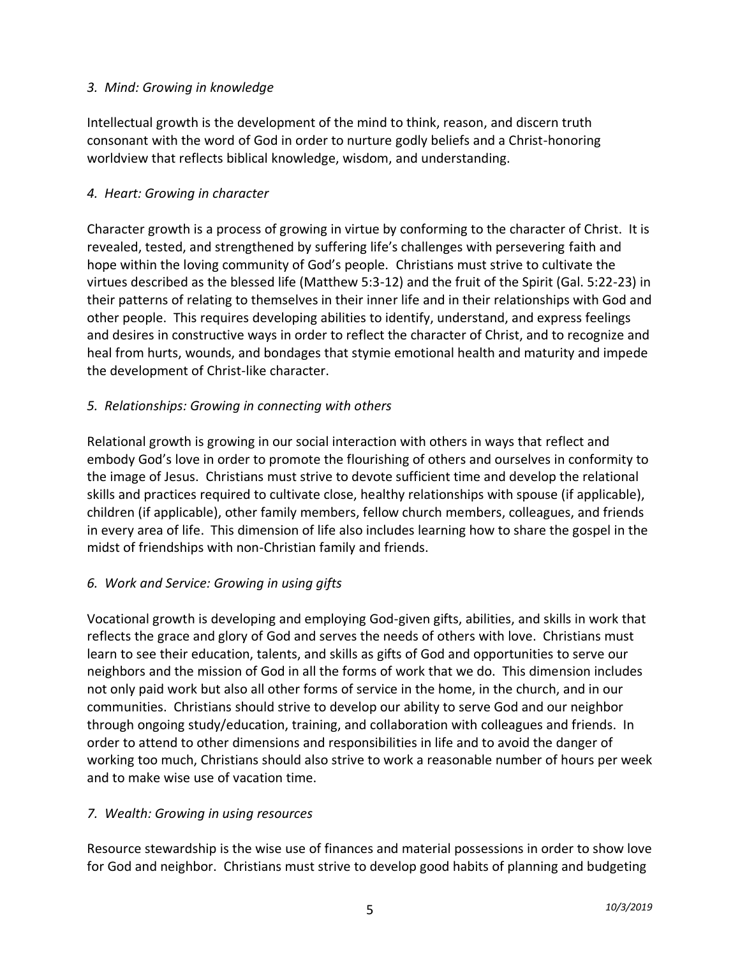### *3. Mind: Growing in knowledge*

Intellectual growth is the development of the mind to think, reason, and discern truth consonant with the word of God in order to nurture godly beliefs and a Christ-honoring worldview that reflects biblical knowledge, wisdom, and understanding.

### *4. Heart: Growing in character*

Character growth is a process of growing in virtue by conforming to the character of Christ. It is revealed, tested, and strengthened by suffering life's challenges with persevering faith and hope within the loving community of God's people. Christians must strive to cultivate the virtues described as the blessed life (Matthew 5:3-12) and the fruit of the Spirit (Gal. 5:22-23) in their patterns of relating to themselves in their inner life and in their relationships with God and other people. This requires developing abilities to identify, understand, and express feelings and desires in constructive ways in order to reflect the character of Christ, and to recognize and heal from hurts, wounds, and bondages that stymie emotional health and maturity and impede the development of Christ-like character.

## *5. Relationships: Growing in connecting with others*

Relational growth is growing in our social interaction with others in ways that reflect and embody God's love in order to promote the flourishing of others and ourselves in conformity to the image of Jesus. Christians must strive to devote sufficient time and develop the relational skills and practices required to cultivate close, healthy relationships with spouse (if applicable), children (if applicable), other family members, fellow church members, colleagues, and friends in every area of life. This dimension of life also includes learning how to share the gospel in the midst of friendships with non-Christian family and friends.

## *6. Work and Service: Growing in using gifts*

Vocational growth is developing and employing God-given gifts, abilities, and skills in work that reflects the grace and glory of God and serves the needs of others with love. Christians must learn to see their education, talents, and skills as gifts of God and opportunities to serve our neighbors and the mission of God in all the forms of work that we do. This dimension includes not only paid work but also all other forms of service in the home, in the church, and in our communities. Christians should strive to develop our ability to serve God and our neighbor through ongoing study/education, training, and collaboration with colleagues and friends. In order to attend to other dimensions and responsibilities in life and to avoid the danger of working too much, Christians should also strive to work a reasonable number of hours per week and to make wise use of vacation time.

### *7. Wealth: Growing in using resources*

Resource stewardship is the wise use of finances and material possessions in order to show love for God and neighbor. Christians must strive to develop good habits of planning and budgeting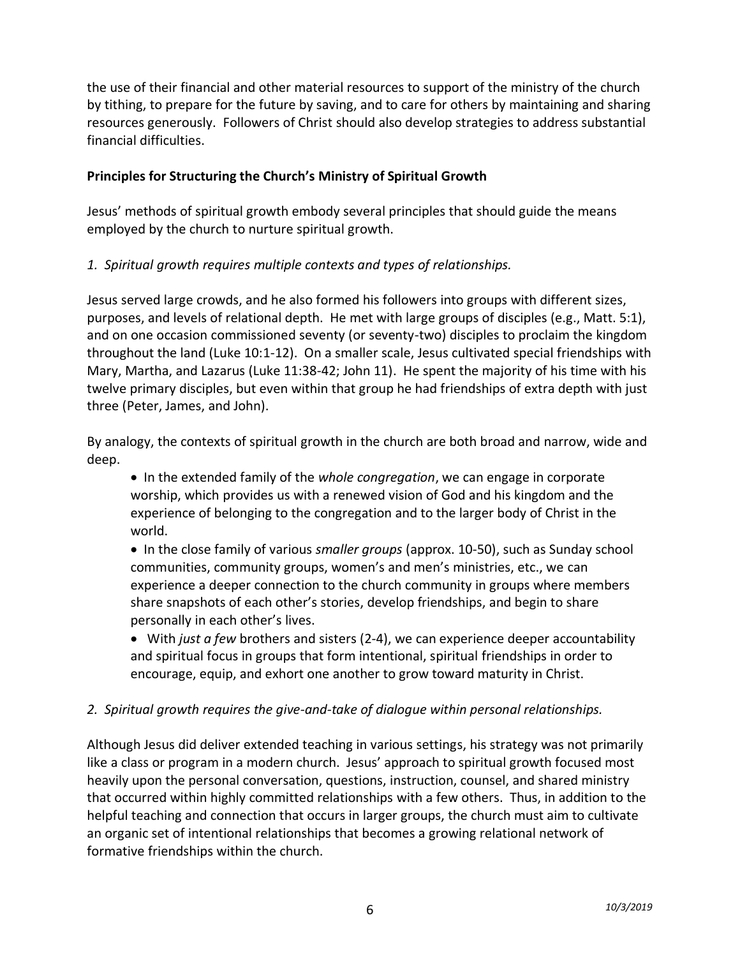the use of their financial and other material resources to support of the ministry of the church by tithing, to prepare for the future by saving, and to care for others by maintaining and sharing resources generously. Followers of Christ should also develop strategies to address substantial financial difficulties.

### **Principles for Structuring the Church's Ministry of Spiritual Growth**

Jesus' methods of spiritual growth embody several principles that should guide the means employed by the church to nurture spiritual growth.

### *1. Spiritual growth requires multiple contexts and types of relationships.*

Jesus served large crowds, and he also formed his followers into groups with different sizes, purposes, and levels of relational depth. He met with large groups of disciples (e.g., Matt. 5:1), and on one occasion commissioned seventy (or seventy-two) disciples to proclaim the kingdom throughout the land (Luke 10:1-12). On a smaller scale, Jesus cultivated special friendships with Mary, Martha, and Lazarus (Luke 11:38-42; John 11). He spent the majority of his time with his twelve primary disciples, but even within that group he had friendships of extra depth with just three (Peter, James, and John).

By analogy, the contexts of spiritual growth in the church are both broad and narrow, wide and deep.

• In the extended family of the *whole congregation*, we can engage in corporate worship, which provides us with a renewed vision of God and his kingdom and the experience of belonging to the congregation and to the larger body of Christ in the world.

• In the close family of various *smaller groups* (approx. 10-50), such as Sunday school communities, community groups, women's and men's ministries, etc., we can experience a deeper connection to the church community in groups where members share snapshots of each other's stories, develop friendships, and begin to share personally in each other's lives.

• With *just a few* brothers and sisters (2-4), we can experience deeper accountability and spiritual focus in groups that form intentional, spiritual friendships in order to encourage, equip, and exhort one another to grow toward maturity in Christ.

### *2. Spiritual growth requires the give-and-take of dialogue within personal relationships.*

Although Jesus did deliver extended teaching in various settings, his strategy was not primarily like a class or program in a modern church. Jesus' approach to spiritual growth focused most heavily upon the personal conversation, questions, instruction, counsel, and shared ministry that occurred within highly committed relationships with a few others. Thus, in addition to the helpful teaching and connection that occurs in larger groups, the church must aim to cultivate an organic set of intentional relationships that becomes a growing relational network of formative friendships within the church.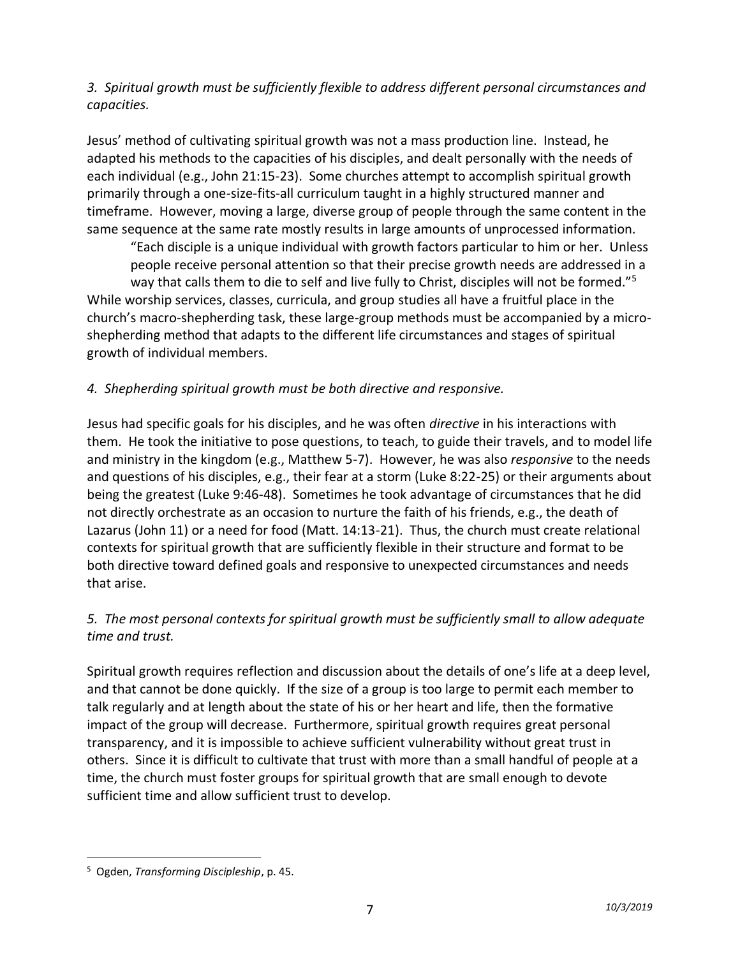### *3. Spiritual growth must be sufficiently flexible to address different personal circumstances and capacities.*

Jesus' method of cultivating spiritual growth was not a mass production line. Instead, he adapted his methods to the capacities of his disciples, and dealt personally with the needs of each individual (e.g., John 21:15-23). Some churches attempt to accomplish spiritual growth primarily through a one-size-fits-all curriculum taught in a highly structured manner and timeframe. However, moving a large, diverse group of people through the same content in the same sequence at the same rate mostly results in large amounts of unprocessed information.

"Each disciple is a unique individual with growth factors particular to him or her. Unless people receive personal attention so that their precise growth needs are addressed in a way that calls them to die to self and live fully to Christ, disciples will not be formed."<sup>5</sup> While worship services, classes, curricula, and group studies all have a fruitful place in the church's macro-shepherding task, these large-group methods must be accompanied by a microshepherding method that adapts to the different life circumstances and stages of spiritual growth of individual members.

### *4. Shepherding spiritual growth must be both directive and responsive.*

Jesus had specific goals for his disciples, and he was often *directive* in his interactions with them. He took the initiative to pose questions, to teach, to guide their travels, and to model life and ministry in the kingdom (e.g., Matthew 5-7). However, he was also *responsive* to the needs and questions of his disciples, e.g., their fear at a storm (Luke 8:22-25) or their arguments about being the greatest (Luke 9:46-48). Sometimes he took advantage of circumstances that he did not directly orchestrate as an occasion to nurture the faith of his friends, e.g., the death of Lazarus (John 11) or a need for food (Matt. 14:13-21). Thus, the church must create relational contexts for spiritual growth that are sufficiently flexible in their structure and format to be both directive toward defined goals and responsive to unexpected circumstances and needs that arise.

### *5. The most personal contexts for spiritual growth must be sufficiently small to allow adequate time and trust.*

Spiritual growth requires reflection and discussion about the details of one's life at a deep level, and that cannot be done quickly. If the size of a group is too large to permit each member to talk regularly and at length about the state of his or her heart and life, then the formative impact of the group will decrease. Furthermore, spiritual growth requires great personal transparency, and it is impossible to achieve sufficient vulnerability without great trust in others. Since it is difficult to cultivate that trust with more than a small handful of people at a time, the church must foster groups for spiritual growth that are small enough to devote sufficient time and allow sufficient trust to develop.

<sup>5</sup> Ogden, *Transforming Discipleship*, p. 45.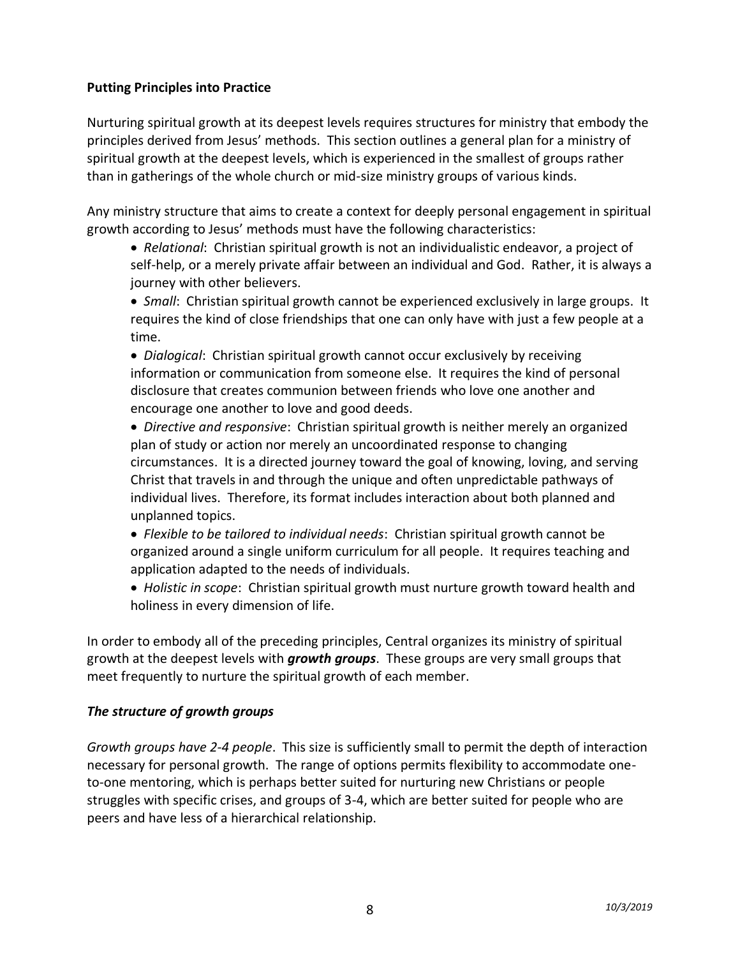#### **Putting Principles into Practice**

Nurturing spiritual growth at its deepest levels requires structures for ministry that embody the principles derived from Jesus' methods. This section outlines a general plan for a ministry of spiritual growth at the deepest levels, which is experienced in the smallest of groups rather than in gatherings of the whole church or mid-size ministry groups of various kinds.

Any ministry structure that aims to create a context for deeply personal engagement in spiritual growth according to Jesus' methods must have the following characteristics:

• *Relational*: Christian spiritual growth is not an individualistic endeavor, a project of self-help, or a merely private affair between an individual and God. Rather, it is always a journey with other believers.

• *Small*: Christian spiritual growth cannot be experienced exclusively in large groups. It requires the kind of close friendships that one can only have with just a few people at a time.

• *Dialogical*: Christian spiritual growth cannot occur exclusively by receiving information or communication from someone else. It requires the kind of personal disclosure that creates communion between friends who love one another and encourage one another to love and good deeds.

• *Directive and responsive*: Christian spiritual growth is neither merely an organized plan of study or action nor merely an uncoordinated response to changing circumstances. It is a directed journey toward the goal of knowing, loving, and serving Christ that travels in and through the unique and often unpredictable pathways of individual lives. Therefore, its format includes interaction about both planned and unplanned topics.

• *Flexible to be tailored to individual needs*: Christian spiritual growth cannot be organized around a single uniform curriculum for all people. It requires teaching and application adapted to the needs of individuals.

• *Holistic in scope*: Christian spiritual growth must nurture growth toward health and holiness in every dimension of life.

In order to embody all of the preceding principles, Central organizes its ministry of spiritual growth at the deepest levels with *growth groups*. These groups are very small groups that meet frequently to nurture the spiritual growth of each member.

### *The structure of growth groups*

*Growth groups have 2-4 people*. This size is sufficiently small to permit the depth of interaction necessary for personal growth. The range of options permits flexibility to accommodate oneto-one mentoring, which is perhaps better suited for nurturing new Christians or people struggles with specific crises, and groups of 3-4, which are better suited for people who are peers and have less of a hierarchical relationship.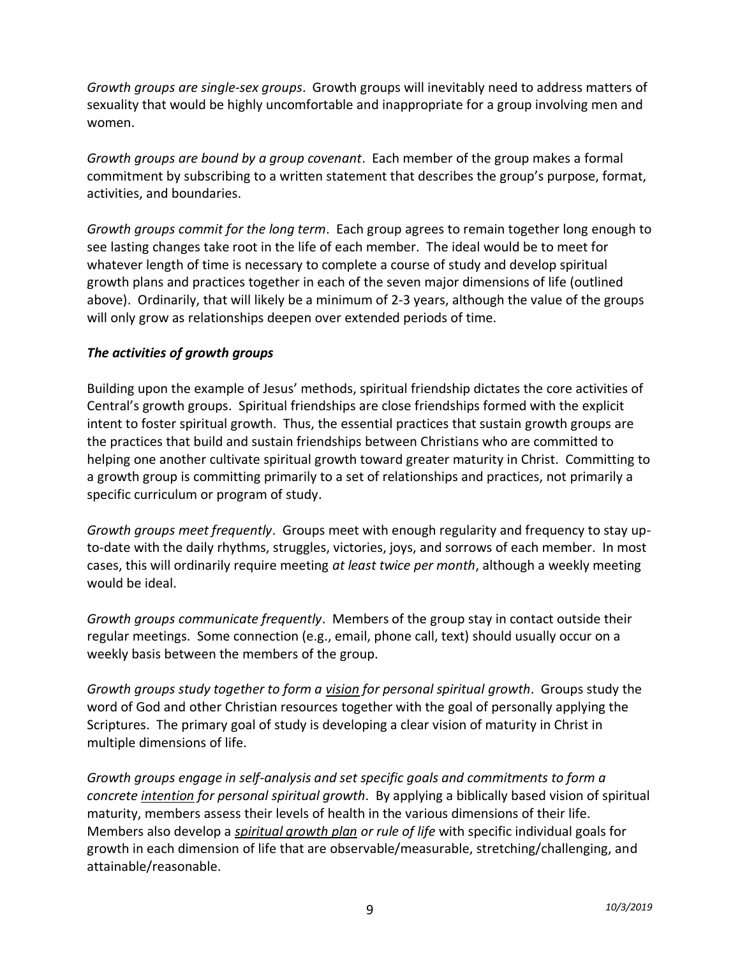*Growth groups are single-sex groups*. Growth groups will inevitably need to address matters of sexuality that would be highly uncomfortable and inappropriate for a group involving men and women.

*Growth groups are bound by a group covenant*. Each member of the group makes a formal commitment by subscribing to a written statement that describes the group's purpose, format, activities, and boundaries.

*Growth groups commit for the long term*. Each group agrees to remain together long enough to see lasting changes take root in the life of each member. The ideal would be to meet for whatever length of time is necessary to complete a course of study and develop spiritual growth plans and practices together in each of the seven major dimensions of life (outlined above). Ordinarily, that will likely be a minimum of 2-3 years, although the value of the groups will only grow as relationships deepen over extended periods of time.

### *The activities of growth groups*

Building upon the example of Jesus' methods, spiritual friendship dictates the core activities of Central's growth groups. Spiritual friendships are close friendships formed with the explicit intent to foster spiritual growth. Thus, the essential practices that sustain growth groups are the practices that build and sustain friendships between Christians who are committed to helping one another cultivate spiritual growth toward greater maturity in Christ. Committing to a growth group is committing primarily to a set of relationships and practices, not primarily a specific curriculum or program of study.

*Growth groups meet frequently*. Groups meet with enough regularity and frequency to stay upto-date with the daily rhythms, struggles, victories, joys, and sorrows of each member. In most cases, this will ordinarily require meeting *at least twice per month*, although a weekly meeting would be ideal.

*Growth groups communicate frequently*. Members of the group stay in contact outside their regular meetings. Some connection (e.g., email, phone call, text) should usually occur on a weekly basis between the members of the group.

*Growth groups study together to form a vision for personal spiritual growth*. Groups study the word of God and other Christian resources together with the goal of personally applying the Scriptures. The primary goal of study is developing a clear vision of maturity in Christ in multiple dimensions of life.

*Growth groups engage in self-analysis and set specific goals and commitments to form a concrete intention for personal spiritual growth*. By applying a biblically based vision of spiritual maturity, members assess their levels of health in the various dimensions of their life. Members also develop a *spiritual growth plan or rule of life* with specific individual goals for growth in each dimension of life that are observable/measurable, stretching/challenging, and attainable/reasonable.